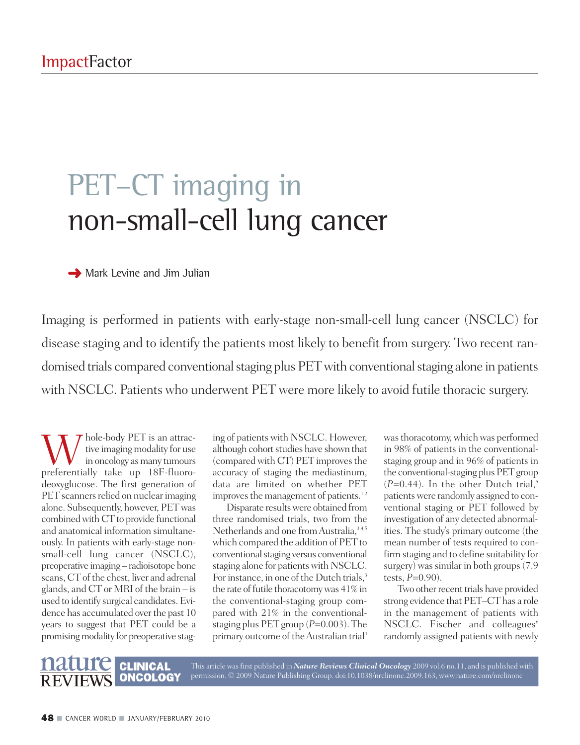# PET-CT imaging in non-small-cell lung cancer

**→** Mark Levine and Jim Julian

Imaging is performed in patients with early-stage non-small-cell lung cancer (NSCLC) for disease staging and to identify the patients most likely to benefit from surgery. Two recent randomised trials compared conventional staging plus PET with conventional staging alone in patients with NSCLC. Patients who underwent PET were more likely to avoid futile thoracic surgery.

W hole-body PET is an attrac-<br>in oncology as many tumours<br>preferentially take up 18F-fluorotive imaging modality for use preferentially take up 18F-fluorodeoxyglucose. The first generation of PET scanners relied on nuclear imaging alone. Subsequently, however, PETwas combined with CT to provide functional and anatomical information simultaneously. In patients with early-stage nonsmall-cell lung cancer (NSCLC), preoperative imaging – radioisotope bone scans, CT of the chest, liver and adrenal glands, and CT or MRI of the brain – is used to identify surgical candidates.Evidence has accumulated over the past 10 years to suggest that PET could be a promising modality for preoperative stag-

ing of patients with NSCLC. However, although cohort studies have shown that (compared with CT) PET improves the accuracy of staging the mediastinum, data are limited on whether PET improves the management of patients.<sup>1,2</sup>

Disparate results were obtained from three randomised trials, two from the Netherlands and one from Australia,<sup>3,4,5</sup> which compared the addition of PET to conventional staging versus conventional staging alone for patients with NSCLC. For instance, in one of the Dutch trials,<sup>3</sup> the rate of futile thoracotomy was  $41\%$  in the conventional-staging group compared with 21% in the conventionalstaging plus PET group (*P*=0.003). The primary outcome of the Australian trial<sup>4</sup>

This article was first published in *Nature Reviews Clinical Oncology* 2009 vol.6 no.11, and is published with

was thoracotomy, which was performed in 98% of patients in the conventionalstaging group and in 96% of patients in the conventional-staging plus PET group  $(P=0.44)$ . In the other Dutch trial,<sup>5</sup> patientswere randomly assigned to conventional staging or PET followed by investigation of any detected abnormalities. The study's primary outcome (the mean number of tests required to confirm staging and to define suitability for surgery) was similar in both groups (7.9) tests, *P*=0.90).

Two other recent trials have provided strong evidence that PET–CT has a role in the management of patients with NSCLC. Fischer and colleagues<sup>6</sup> randomly assigned patients with newly

### **ONCOLOGY** permission. © 2009 Nature Publishing Group. doi:10.1038/nrclinonc.2009.163, www.nature.com/nrclinonc

**CLINICAL**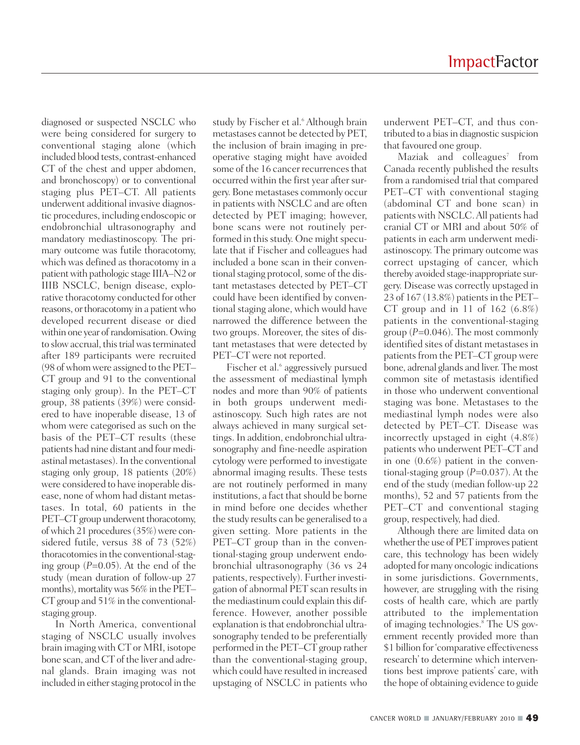diagnosed or suspected NSCLC who were being considered for surgery to conventional staging alone (which included blood tests, contrast-enhanced CT of the chest and upper abdomen, and bronchoscopy) or to conventional staging plus PET–CT. All patients underwent additional invasive diagnostic procedures, including endoscopic or endobronchial ultrasonography and mandatory mediastinoscopy. The primary outcome was futile thoracotomy, which was defined as thoracotomy in a patientwith pathologic stage IIIA–N2 or IIIB NSCLC, benign disease, explorative thoracotomy conducted for other reasons, or thoracotomy in a patient who developed recurrent disease or died within one year of randomisation. Owing to slow accrual, this trial was terminated after 189 participants were recruited (98 of whom were assigned to the PET– CT group and 91 to the conventional staging only group). In the PET–CT group, 38 patients (39%) were considered to have inoperable disease, 13 of whom were categorised as such on the basis of the PET–CT results (these patients had nine distant and four mediastinal metastases).In the conventional staging only group, 18 patients (20%) were considered to have inoperable disease, none of whom had distant metastases. In total, 60 patients in the PET–CT group underwent thoracotomy, of which 21 procedures (35%) were considered futile, versus 38 of 73 (52%) thoracotomies in the conventional-staging group (*P*=0.05). At the end of the study (mean duration of follow-up 27 months), mortality was 56% in the PET-CT group and 51% in the conventionalstaging group.

In North America, conventional staging of NSCLC usually involves brain imaging with CT or MRI, isotope bone scan, and CT of the liver and adrenal glands. Brain imaging was not included in either staging protocol in the

study by Fischer et al. <sup>6</sup> Although brain metastases cannot be detected by PET, the inclusion of brain imaging in preoperative staging might have avoided some of the 16 cancer recurrences that occurred within the first year after surgery. Bone metastases commonly occur in patients with NSCLC and are often detected by PET imaging; however, bone scans were not routinely performed in this study. One might speculate that if Fischer and colleagues had included a bone scan in their conventional staging protocol, some of the distant metastases detected by PET–CT could have been identified by conventional staging alone, which would have narrowed the difference between the two groups. Moreover, the sites of distant metastases that were detected by PET–CT were not reported.

Fischer et al. <sup>6</sup> aggressively pursued the assessment of mediastinal lymph nodes and more than 90% of patients in both groups underwent mediastinoscopy. Such high rates are not always achieved in many surgical settings. In addition, endobronchial ultrasonography and fine-needle aspiration cytology were performed to investigate abnormal imaging results. These tests are not routinely performed in many institutions, a fact that should be borne in mind before one decides whether the study results can be generalised to a given setting. More patients in the PET–CT group than in the conventional-staging group underwent endobronchial ultrasonography (36 vs 24 patients, respectively). Further investigation of abnormal PET scan results in the mediastinum could explain this difference. However, another possible explanation is that endobronchial ultrasonography tended to be preferentially performed in the PET–CT group rather than the conventional-staging group, which could have resulted in increased upstaging of NSCLC in patients who

underwent PET–CT, and thus contributed to a bias in diagnostic suspicion that favoured one group.

Maziak and colleagues<sup>7</sup> from Canada recently published the results from a randomised trial that compared PET–CT with conventional staging (abdominal CT and bone scan) in patientswith NSCLC.All patients had cranial CT or MRI and about 50% of patients in each arm underwent mediastinoscopy. The primary outcome was correct upstaging of cancer, which thereby avoided stage-inappropriate surgery. Disease was correctly upstaged in 23 of 167 (13.8%) patients in the PET-CT group and in 11 of 162  $(6.8\%)$ patients in the conventional-staging group (*P*=0.046). The most commonly identified sites of distant metastases in patients from the PET–CT group were bone, adrenal glands and liver. Themost common site of metastasis identified in those who underwent conventional staging was bone. Metastases to the mediastinal lymph nodes were also detected by PET–CT. Disease was incorrectly upstaged in eight (4.8%) patients who underwent PET–CT and in one (0.6%) patient in the conventional-staging group (*P*=0.037). At the end of the study (median follow-up 22 months), 52 and 57 patients from the PET–CT and conventional staging group, respectively, had died.

Although there are limited data on whether the use of PET improves patient care, this technology has been widely adopted for many oncologic indications in some jurisdictions. Governments, however, are struggling with the rising costs of health care, which are partly attributed to the implementation of imaging technologies. <sup>8</sup> The US government recently provided more than \$1 billion for'comparative effectiveness research' to determine which interventions best improve patients' care, with the hope of obtaining evidence to guide